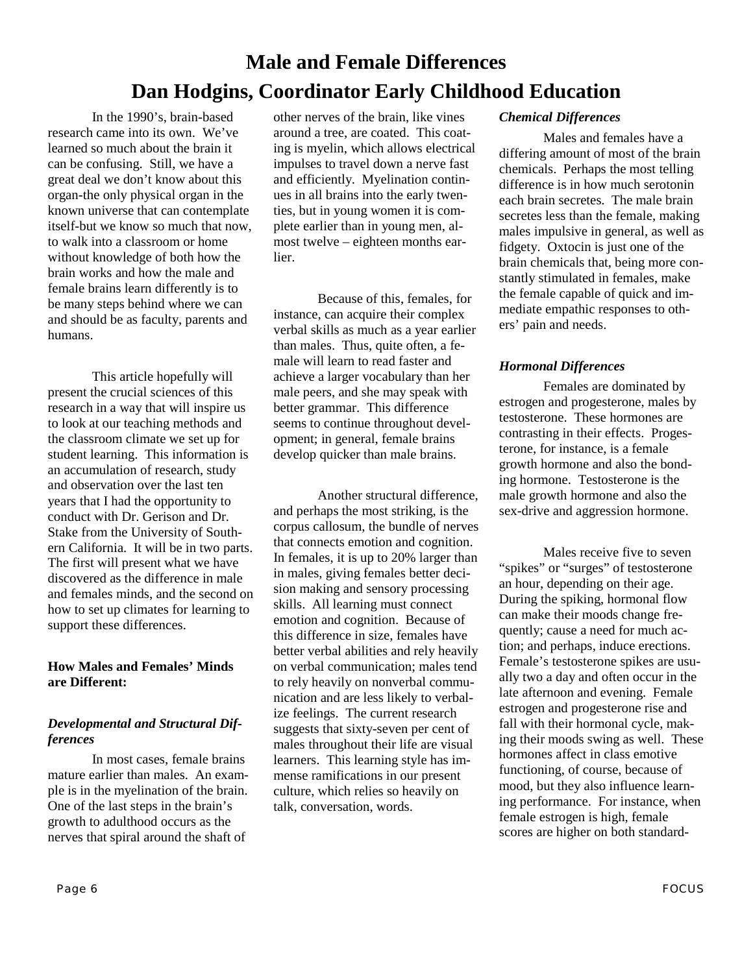# **Male and Female Differences Dan Hodgins, Coordinator Early Childhood Education**

In the 1990's, brain-based research came into its own. We've learned so much about the brain it can be confusing. Still, we have a great deal we don't know about this organ-the only physical organ in the known universe that can contemplate itself-but we know so much that now, to walk into a classroom or home without knowledge of both how the brain works and how the male and female brains learn differently is to be many steps behind where we can and should be as faculty, parents and humans.

 This article hopefully will present the crucial sciences of this research in a way that will inspire us to look at our teaching methods and the classroom climate we set up for student learning. This information is an accumulation of research, study and observation over the last ten years that I had the opportunity to conduct with Dr. Gerison and Dr. Stake from the University of Southern California. It will be in two parts. The first will present what we have discovered as the difference in male and females minds, and the second on how to set up climates for learning to support these differences.

## **How Males and Females' Minds are Different:**

# *Developmental and Structural Differences*

 In most cases, female brains mature earlier than males. An example is in the myelination of the brain. One of the last steps in the brain's growth to adulthood occurs as the nerves that spiral around the shaft of

other nerves of the brain, like vines around a tree, are coated. This coating is myelin, which allows electrical impulses to travel down a nerve fast and efficiently. Myelination continues in all brains into the early twenties, but in young women it is complete earlier than in young men, almost twelve – eighteen months earlier.

 Because of this, females, for instance, can acquire their complex verbal skills as much as a year earlier than males. Thus, quite often, a female will learn to read faster and achieve a larger vocabulary than her male peers, and she may speak with better grammar. This difference seems to continue throughout development; in general, female brains develop quicker than male brains.

 Another structural difference, and perhaps the most striking, is the corpus callosum, the bundle of nerves that connects emotion and cognition. In females, it is up to 20% larger than in males, giving females better decision making and sensory processing skills. All learning must connect emotion and cognition. Because of this difference in size, females have better verbal abilities and rely heavily on verbal communication; males tend to rely heavily on nonverbal communication and are less likely to verbalize feelings. The current research suggests that sixty-seven per cent of males throughout their life are visual learners. This learning style has immense ramifications in our present culture, which relies so heavily on talk, conversation, words.

# *Chemical Differences*

 Males and females have a differing amount of most of the brain chemicals. Perhaps the most telling difference is in how much serotonin each brain secretes. The male brain secretes less than the female, making males impulsive in general, as well as fidgety. Oxtocin is just one of the brain chemicals that, being more constantly stimulated in females, make the female capable of quick and immediate empathic responses to others' pain and needs.

# *Hormonal Differences*

 Females are dominated by estrogen and progesterone, males by testosterone. These hormones are contrasting in their effects. Progesterone, for instance, is a female growth hormone and also the bonding hormone. Testosterone is the male growth hormone and also the sex-drive and aggression hormone.

 Males receive five to seven "spikes" or "surges" of testosterone an hour, depending on their age. During the spiking, hormonal flow can make their moods change frequently; cause a need for much action; and perhaps, induce erections. Female's testosterone spikes are usually two a day and often occur in the late afternoon and evening. Female estrogen and progesterone rise and fall with their hormonal cycle, making their moods swing as well. These hormones affect in class emotive functioning, of course, because of mood, but they also influence learning performance. For instance, when female estrogen is high, female scores are higher on both standard